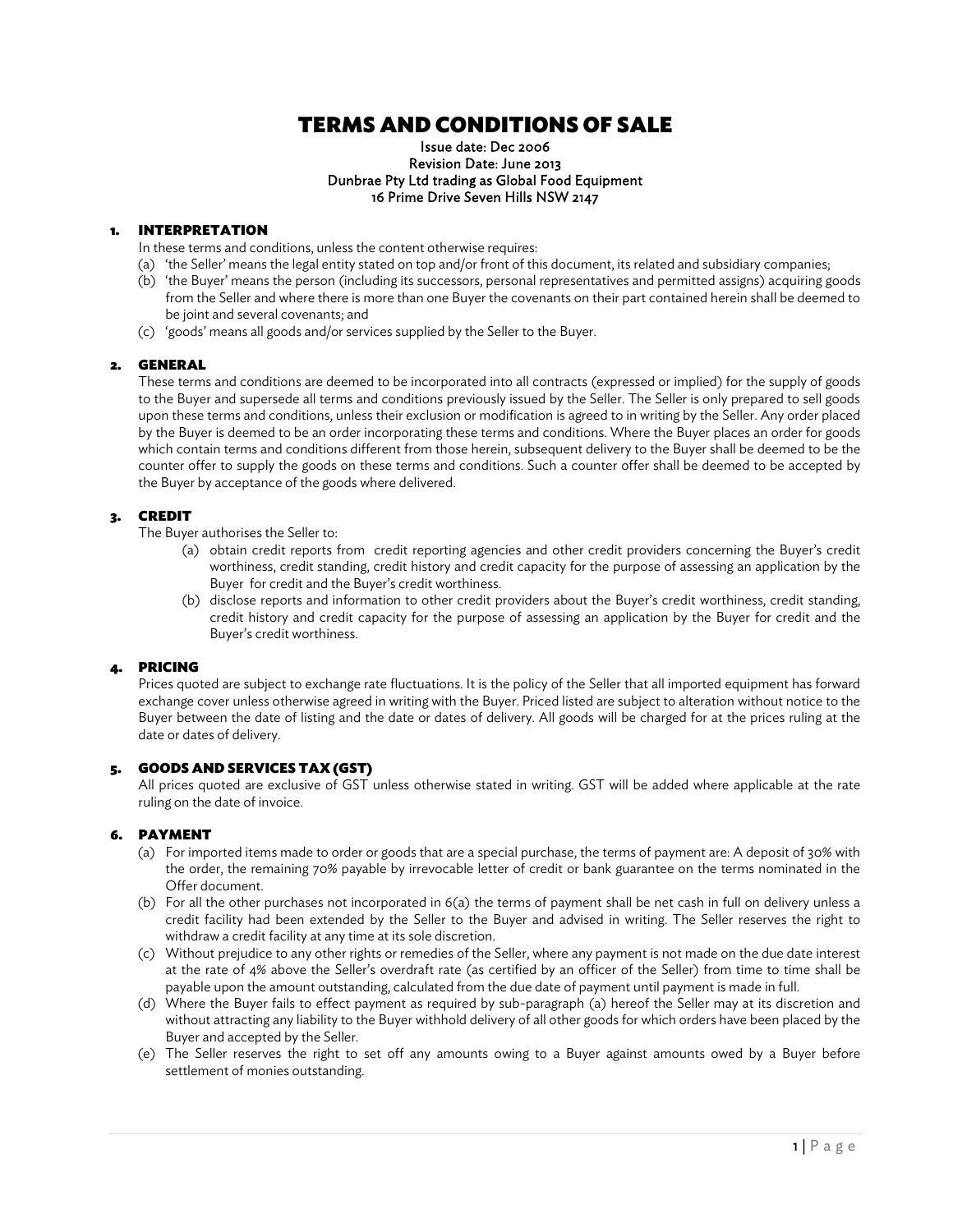# TERMS AND CONDITIONS OF SALE

#### Issue date: Dec 2006 Revision Date: June 2013 Dunbrae Pty Ltd trading as Global Food Equipment 16 Prime Drive Seven Hills NSW 2147

# 1. INTERPRETATION

In these terms and conditions, unless the content otherwise requires:

- (a) 'the Seller' means the legal entity stated on top and/or front of this document, its related and subsidiary companies;
- (b) 'the Buyer' means the person (including its successors, personal representatives and permitted assigns) acquiring goods from the Seller and where there is more than one Buyer the covenants on their part contained herein shall be deemed to be joint and several covenants; and
- (c) 'goods' means all goods and/or services supplied by the Seller to the Buyer.

# 2. GENERAL

These terms and conditions are deemed to be incorporated into all contracts (expressed or implied) for the supply of goods to the Buyer and supersede all terms and conditions previously issued by the Seller. The Seller is only prepared to sell goods upon these terms and conditions, unless their exclusion or modification is agreed to in writing by the Seller. Any order placed by the Buyer is deemed to be an order incorporating these terms and conditions. Where the Buyer places an order for goods which contain terms and conditions different from those herein, subsequent delivery to the Buyer shall be deemed to be the counter offer to supply the goods on these terms and conditions. Such a counter offer shall be deemed to be accepted by the Buyer by acceptance of the goods where delivered.

# 3. CREDIT

The Buyer authorises the Seller to:

- (a) obtain credit reports from credit reporting agencies and other credit providers concerning the Buyer's credit worthiness, credit standing, credit history and credit capacity for the purpose of assessing an application by the Buyer for credit and the Buyer's credit worthiness.
- (b) disclose reports and information to other credit providers about the Buyer's credit worthiness, credit standing, credit history and credit capacity for the purpose of assessing an application by the Buyer for credit and the Buyer's credit worthiness.

# 4. PRICING

Prices quoted are subject to exchange rate fluctuations. It is the policy of the Seller that all imported equipment has forward exchange cover unless otherwise agreed in writing with the Buyer. Priced listed are subject to alteration without notice to the Buyer between the date of listing and the date or dates of delivery. All goods will be charged for at the prices ruling at the date or dates of delivery.

# 5. GOODS AND SERVICES TAX (GST)

All prices quoted are exclusive of GST unless otherwise stated in writing. GST will be added where applicable at the rate ruling on the date of invoice.

# 6. PAYMENT

- (a) For imported items made to order or goods that are a special purchase, the terms of payment are: A deposit of 30% with the order, the remaining 70% payable by irrevocable letter of credit or bank guarantee on the terms nominated in the Offer document.
- (b) For all the other purchases not incorporated in 6(a) the terms of payment shall be net cash in full on delivery unless a credit facility had been extended by the Seller to the Buyer and advised in writing. The Seller reserves the right to withdraw a credit facility at any time at its sole discretion.
- (c) Without prejudice to any other rights or remedies of the Seller, where any payment is not made on the due date interest at the rate of 4% above the Seller's overdraft rate (as certified by an officer of the Seller) from time to time shall be payable upon the amount outstanding, calculated from the due date of payment until payment is made in full.
- (d) Where the Buyer fails to effect payment as required by sub-paragraph (a) hereof the Seller may at its discretion and without attracting any liability to the Buyer withhold delivery of all other goods for which orders have been placed by the Buyer and accepted by the Seller.
- (e) The Seller reserves the right to set off any amounts owing to a Buyer against amounts owed by a Buyer before settlement of monies outstanding.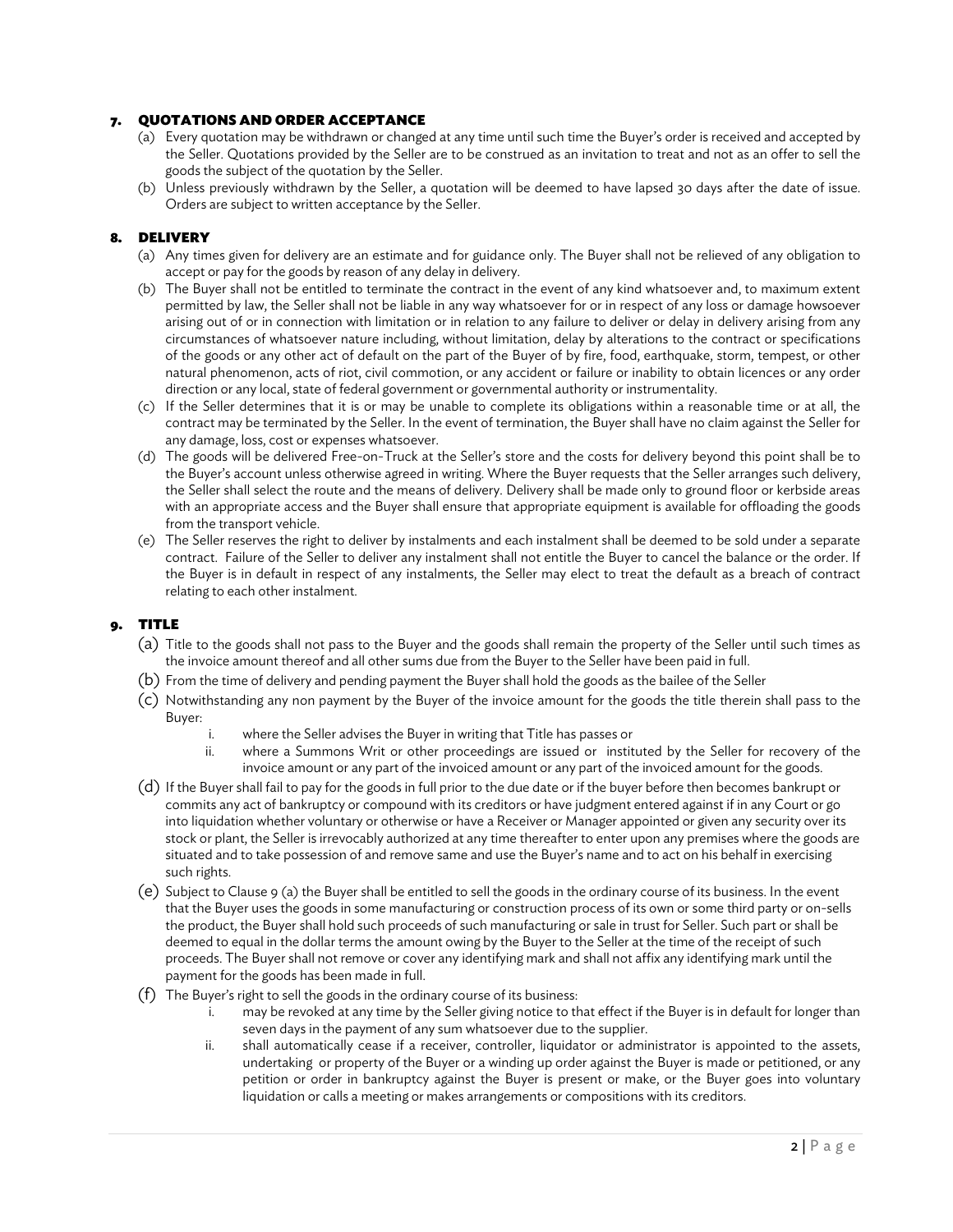# 7. QUOTATIONS AND ORDER ACCEPTANCE

- (a) Every quotation may be withdrawn or changed at any time until such time the Buyer's order is received and accepted by the Seller. Quotations provided by the Seller are to be construed as an invitation to treat and not as an offer to sell the goods the subject of the quotation by the Seller.
- (b) Unless previously withdrawn by the Seller, a quotation will be deemed to have lapsed 30 days after the date of issue. Orders are subject to written acceptance by the Seller.

# 8. DELIVERY

- (a) Any times given for delivery are an estimate and for guidance only. The Buyer shall not be relieved of any obligation to accept or pay for the goods by reason of any delay in delivery.
- (b) The Buyer shall not be entitled to terminate the contract in the event of any kind whatsoever and, to maximum extent permitted by law, the Seller shall not be liable in any way whatsoever for or in respect of any loss or damage howsoever arising out of or in connection with limitation or in relation to any failure to deliver or delay in delivery arising from any circumstances of whatsoever nature including, without limitation, delay by alterations to the contract or specifications of the goods or any other act of default on the part of the Buyer of by fire, food, earthquake, storm, tempest, or other natural phenomenon, acts of riot, civil commotion, or any accident or failure or inability to obtain licences or any order direction or any local, state of federal government or governmental authority or instrumentality.
- (c) If the Seller determines that it is or may be unable to complete its obligations within a reasonable time or at all, the contract may be terminated by the Seller. In the event of termination, the Buyer shall have no claim against the Seller for any damage, loss, cost or expenses whatsoever.
- (d) The goods will be delivered Free-on-Truck at the Seller's store and the costs for delivery beyond this point shall be to the Buyer's account unless otherwise agreed in writing. Where the Buyer requests that the Seller arranges such delivery, the Seller shall select the route and the means of delivery. Delivery shall be made only to ground floor or kerbside areas with an appropriate access and the Buyer shall ensure that appropriate equipment is available for offloading the goods from the transport vehicle.
- (e) The Seller reserves the right to deliver by instalments and each instalment shall be deemed to be sold under a separate contract. Failure of the Seller to deliver any instalment shall not entitle the Buyer to cancel the balance or the order. If the Buyer is in default in respect of any instalments, the Seller may elect to treat the default as a breach of contract relating to each other instalment.

# 9. TITLE

- (a) Title to the goods shall not pass to the Buyer and the goods shall remain the property of the Seller until such times as the invoice amount thereof and all other sums due from the Buyer to the Seller have been paid in full.
- (b) From the time of delivery and pending payment the Buyer shall hold the goods as the bailee of the Seller
- (c) Notwithstanding any non payment by the Buyer of the invoice amount for the goods the title therein shall pass to the Buyer:
	- i. where the Seller advises the Buyer in writing that Title has passes or
	- ii. where a Summons Writ or other proceedings are issued or instituted by the Seller for recovery of the invoice amount or any part of the invoiced amount or any part of the invoiced amount for the goods.
- (d) If the Buyer shall fail to pay for the goods in full prior to the due date or if the buyer before then becomes bankrupt or commits any act of bankruptcy or compound with its creditors or have judgment entered against if in any Court or go into liquidation whether voluntary or otherwise or have a Receiver or Manager appointed or given any security over its stock or plant, the Seller is irrevocably authorized at any time thereafter to enter upon any premises where the goods are situated and to take possession of and remove same and use the Buyer's name and to act on his behalf in exercising such rights.
- (e) Subject to Clause 9 (a) the Buyer shall be entitled to sell the goods in the ordinary course of its business. In the event that the Buyer uses the goods in some manufacturing or construction process of its own or some third party or on-sells the product, the Buyer shall hold such proceeds of such manufacturing or sale in trust for Seller. Such part or shall be deemed to equal in the dollar terms the amount owing by the Buyer to the Seller at the time of the receipt of such proceeds. The Buyer shall not remove or cover any identifying mark and shall not affix any identifying mark until the payment for the goods has been made in full.
- (f) The Buyer's right to sell the goods in the ordinary course of its business:
	- i. may be revoked at any time by the Seller giving notice to that effect if the Buyer is in default for longer than seven days in the payment of any sum whatsoever due to the supplier.
	- ii. shall automatically cease if a receiver, controller, liquidator or administrator is appointed to the assets, undertaking or property of the Buyer or a winding up order against the Buyer is made or petitioned, or any petition or order in bankruptcy against the Buyer is present or make, or the Buyer goes into voluntary liquidation or calls a meeting or makes arrangements or compositions with its creditors.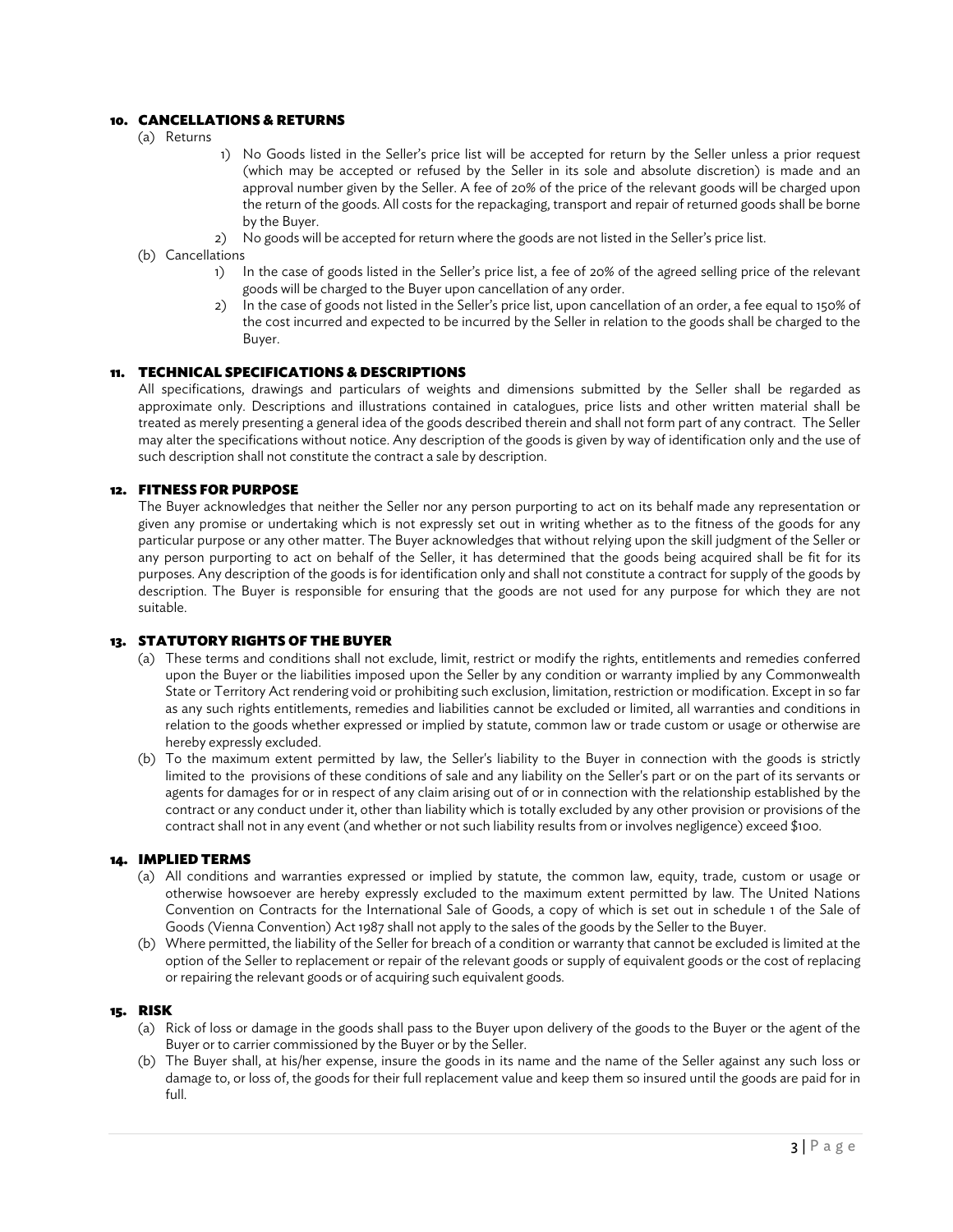# 10. CANCELLATIONS & RETURNS

- (a) Returns
- 1) No Goods listed in the Seller's price list will be accepted for return by the Seller unless a prior request (which may be accepted or refused by the Seller in its sole and absolute discretion) is made and an approval number given by the Seller. A fee of 20% of the price of the relevant goods will be charged upon the return of the goods. All costs for the repackaging, transport and repair of returned goods shall be borne by the Buyer.
- 2) No goods will be accepted for return where the goods are not listed in the Seller's price list.
- (b) Cancellations
	- 1) In the case of goods listed in the Seller's price list, a fee of 20% of the agreed selling price of the relevant goods will be charged to the Buyer upon cancellation of any order.
	- In the case of goods not listed in the Seller's price list, upon cancellation of an order, a fee equal to 150% of the cost incurred and expected to be incurred by the Seller in relation to the goods shall be charged to the Buyer.

## 11. TECHNICAL SPECIFICATIONS & DESCRIPTIONS

All specifications, drawings and particulars of weights and dimensions submitted by the Seller shall be regarded as approximate only. Descriptions and illustrations contained in catalogues, price lists and other written material shall be treated as merely presenting a general idea of the goods described therein and shall not form part of any contract. The Seller may alter the specifications without notice. Any description of the goods is given by way of identification only and the use of such description shall not constitute the contract a sale by description.

## 12. FITNESS FOR PURPOSE

The Buyer acknowledges that neither the Seller nor any person purporting to act on its behalf made any representation or given any promise or undertaking which is not expressly set out in writing whether as to the fitness of the goods for any particular purpose or any other matter. The Buyer acknowledges that without relying upon the skill judgment of the Seller or any person purporting to act on behalf of the Seller, it has determined that the goods being acquired shall be fit for its purposes. Any description of the goods is for identification only and shall not constitute a contract for supply of the goods by description. The Buyer is responsible for ensuring that the goods are not used for any purpose for which they are not suitable.

## 13. STATUTORY RIGHTS OF THE BUYER

- (a) These terms and conditions shall not exclude, limit, restrict or modify the rights, entitlements and remedies conferred upon the Buyer or the liabilities imposed upon the Seller by any condition or warranty implied by any Commonwealth State or Territory Act rendering void or prohibiting such exclusion, limitation, restriction or modification. Except in so far as any such rights entitlements, remedies and liabilities cannot be excluded or limited, all warranties and conditions in relation to the goods whether expressed or implied by statute, common law or trade custom or usage or otherwise are hereby expressly excluded.
- (b) To the maximum extent permitted by law, the Seller's liability to the Buyer in connection with the goods is strictly limited to the provisions of these conditions of sale and any liability on the Seller's part or on the part of its servants or agents for damages for or in respect of any claim arising out of or in connection with the relationship established by the contract or any conduct under it, other than liability which is totally excluded by any other provision or provisions of the contract shall not in any event (and whether or not such liability results from or involves negligence) exceed \$100.

#### 14. IMPLIED TERMS

- (a) All conditions and warranties expressed or implied by statute, the common law, equity, trade, custom or usage or otherwise howsoever are hereby expressly excluded to the maximum extent permitted by law. The United Nations Convention on Contracts for the International Sale of Goods, a copy of which is set out in schedule 1 of the Sale of Goods (Vienna Convention) Act 1987 shall not apply to the sales of the goods by the Seller to the Buyer.
- (b) Where permitted, the liability of the Seller for breach of a condition or warranty that cannot be excluded is limited at the option of the Seller to replacement or repair of the relevant goods or supply of equivalent goods or the cost of replacing or repairing the relevant goods or of acquiring such equivalent goods.

#### 15. RISK

- (a) Rick of loss or damage in the goods shall pass to the Buyer upon delivery of the goods to the Buyer or the agent of the Buyer or to carrier commissioned by the Buyer or by the Seller.
- (b) The Buyer shall, at his/her expense, insure the goods in its name and the name of the Seller against any such loss or damage to, or loss of, the goods for their full replacement value and keep them so insured until the goods are paid for in full.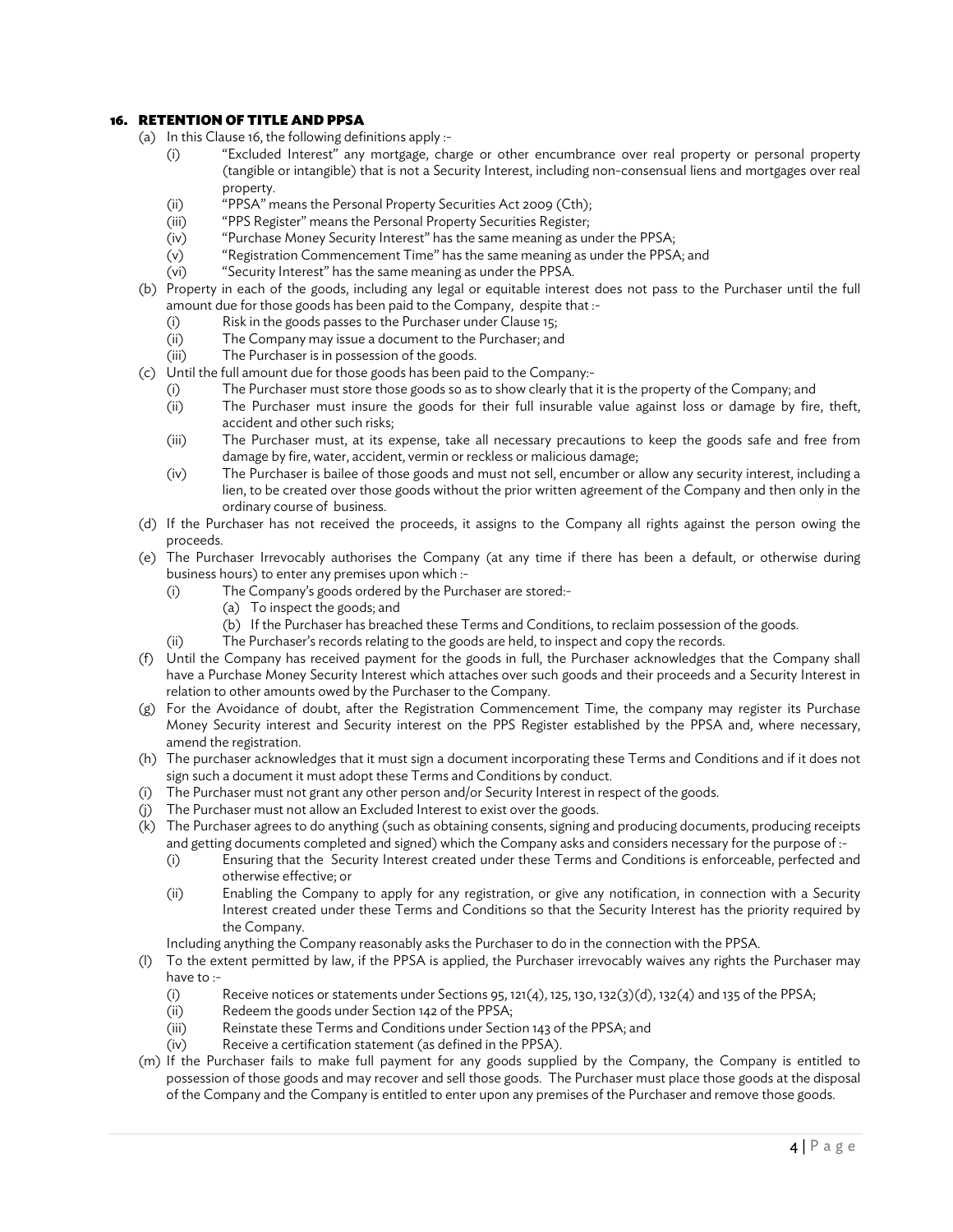# 16. RETENTION OF TITLE AND PPSA

- (a) In this Clause 16, the following definitions apply :-
	- (i) "Excluded Interest" any mortgage, charge or other encumbrance over real property or personal property (tangible or intangible) that is not a Security Interest, including non-consensual liens and mortgages over real property.
	- (ii) "PPSA" means the Personal Property Securities Act 2009 (Cth);
	- (iii) "PPS Register" means the Personal Property Securities Register;
	- (iv) "Purchase Money Security Interest" has the same meaning as under the PPSA;
	- (v) "Registration Commencement Time" has the same meaning as under the PPSA; and
	- (vi) "Security Interest" has the same meaning as under the PPSA.
- (b) Property in each of the goods, including any legal or equitable interest does not pass to the Purchaser until the full amount due for those goods has been paid to the Company, despite that :-
	- (i) Risk in the goods passes to the Purchaser under Clause 15;
	- (ii) The Company may issue a document to the Purchaser; and
	- (iii) The Purchaser is in possession of the goods.
- (c) Until the full amount due for those goods has been paid to the Company:-
	- (i) The Purchaser must store those goods so as to show clearly that it is the property of the Company; and
	- (ii) The Purchaser must insure the goods for their full insurable value against loss or damage by fire, theft, accident and other such risks;
	- (iii) The Purchaser must, at its expense, take all necessary precautions to keep the goods safe and free from damage by fire, water, accident, vermin or reckless or malicious damage;
	- (iv) The Purchaser is bailee of those goods and must not sell, encumber or allow any security interest, including a lien, to be created over those goods without the prior written agreement of the Company and then only in the ordinary course of business.
- (d) If the Purchaser has not received the proceeds, it assigns to the Company all rights against the person owing the proceeds.
- (e) The Purchaser Irrevocably authorises the Company (at any time if there has been a default, or otherwise during business hours) to enter any premises upon which :-
	- (i) The Company's goods ordered by the Purchaser are stored:-
		- (a) To inspect the goods; and
			- (b) If the Purchaser has breached these Terms and Conditions, to reclaim possession of the goods.
	- (ii) The Purchaser's records relating to the goods are held, to inspect and copy the records.
- (f) Until the Company has received payment for the goods in full, the Purchaser acknowledges that the Company shall have a Purchase Money Security Interest which attaches over such goods and their proceeds and a Security Interest in relation to other amounts owed by the Purchaser to the Company.
- (g) For the Avoidance of doubt, after the Registration Commencement Time, the company may register its Purchase Money Security interest and Security interest on the PPS Register established by the PPSA and, where necessary, amend the registration.
- (h) The purchaser acknowledges that it must sign a document incorporating these Terms and Conditions and if it does not sign such a document it must adopt these Terms and Conditions by conduct.
- (i) The Purchaser must not grant any other person and/or Security Interest in respect of the goods.
- (j) The Purchaser must not allow an Excluded Interest to exist over the goods.
- (k) The Purchaser agrees to do anything (such as obtaining consents, signing and producing documents, producing receipts and getting documents completed and signed) which the Company asks and considers necessary for the purpose of :-
	- (i) Ensuring that the Security Interest created under these Terms and Conditions is enforceable, perfected and otherwise effective; or
	- (ii) Enabling the Company to apply for any registration, or give any notification, in connection with a Security Interest created under these Terms and Conditions so that the Security Interest has the priority required by the Company.

Including anything the Company reasonably asks the Purchaser to do in the connection with the PPSA.

- (l) To the extent permitted by law, if the PPSA is applied, the Purchaser irrevocably waives any rights the Purchaser may have to :-
	- (i) Receive notices or statements under Sections 95, 121(4), 125, 130, 132(3)(d), 132(4) and 135 of the PPSA;
	- (ii) Redeem the goods under Section 142 of the PPSA;
	- (iii) Reinstate these Terms and Conditions under Section 143 of the PPSA; and
	- (iv) Receive a certification statement (as defined in the PPSA).
- (m) If the Purchaser fails to make full payment for any goods supplied by the Company, the Company is entitled to possession of those goods and may recover and sell those goods. The Purchaser must place those goods at the disposal of the Company and the Company is entitled to enter upon any premises of the Purchaser and remove those goods.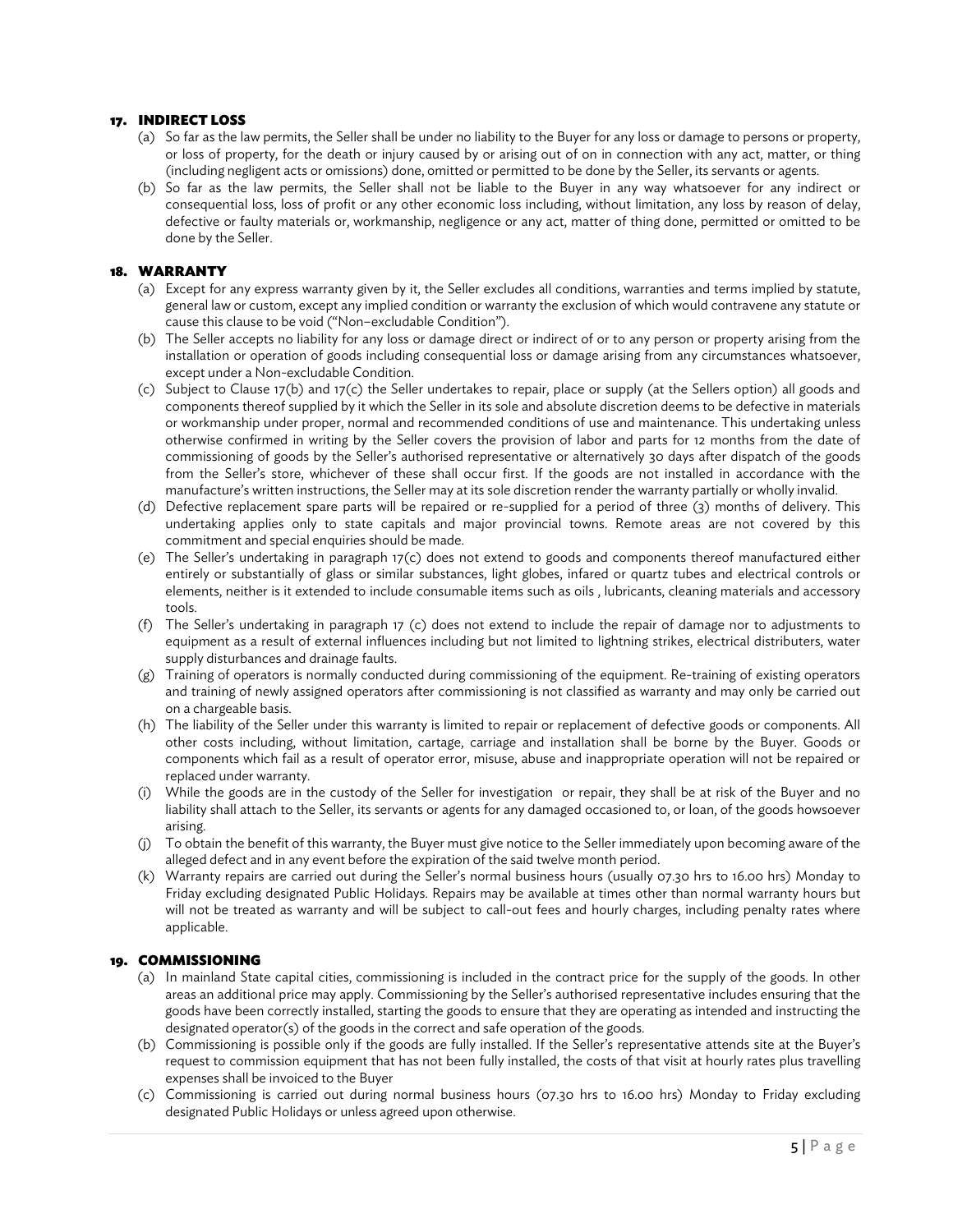# 17. INDIRECT LOSS

- (a) So far as the law permits, the Seller shall be under no liability to the Buyer for any loss or damage to persons or property, or loss of property, for the death or injury caused by or arising out of on in connection with any act, matter, or thing (including negligent acts or omissions) done, omitted or permitted to be done by the Seller, its servants or agents.
- (b) So far as the law permits, the Seller shall not be liable to the Buyer in any way whatsoever for any indirect or consequential loss, loss of profit or any other economic loss including, without limitation, any loss by reason of delay, defective or faulty materials or, workmanship, negligence or any act, matter of thing done, permitted or omitted to be done by the Seller.

## 18. WARRANTY

- (a) Except for any express warranty given by it, the Seller excludes all conditions, warranties and terms implied by statute, general law or custom, except any implied condition or warranty the exclusion of which would contravene any statute or cause this clause to be void ("Non–excludable Condition").
- (b) The Seller accepts no liability for any loss or damage direct or indirect of or to any person or property arising from the installation or operation of goods including consequential loss or damage arising from any circumstances whatsoever, except under a Non-excludable Condition.
- (c) Subject to Clause 17(b) and 17(c) the Seller undertakes to repair, place or supply (at the Sellers option) all goods and components thereof supplied by it which the Seller in its sole and absolute discretion deems to be defective in materials or workmanship under proper, normal and recommended conditions of use and maintenance. This undertaking unless otherwise confirmed in writing by the Seller covers the provision of labor and parts for 12 months from the date of commissioning of goods by the Seller's authorised representative or alternatively 30 days after dispatch of the goods from the Seller's store, whichever of these shall occur first. If the goods are not installed in accordance with the manufacture's written instructions, the Seller may at its sole discretion render the warranty partially or wholly invalid.
- (d) Defective replacement spare parts will be repaired or re-supplied for a period of three (3) months of delivery. This undertaking applies only to state capitals and major provincial towns. Remote areas are not covered by this commitment and special enquiries should be made.
- (e) The Seller's undertaking in paragraph 17(c) does not extend to goods and components thereof manufactured either entirely or substantially of glass or similar substances, light globes, infared or quartz tubes and electrical controls or elements, neither is it extended to include consumable items such as oils , lubricants, cleaning materials and accessory tools.
- (f) The Seller's undertaking in paragraph 17 (c) does not extend to include the repair of damage nor to adjustments to equipment as a result of external influences including but not limited to lightning strikes, electrical distributers, water supply disturbances and drainage faults.
- (g) Training of operators is normally conducted during commissioning of the equipment. Re-training of existing operators and training of newly assigned operators after commissioning is not classified as warranty and may only be carried out on a chargeable basis.
- (h) The liability of the Seller under this warranty is limited to repair or replacement of defective goods or components. All other costs including, without limitation, cartage, carriage and installation shall be borne by the Buyer. Goods or components which fail as a result of operator error, misuse, abuse and inappropriate operation will not be repaired or replaced under warranty.
- (i) While the goods are in the custody of the Seller for investigation or repair, they shall be at risk of the Buyer and no liability shall attach to the Seller, its servants or agents for any damaged occasioned to, or loan, of the goods howsoever arising.
- (j) To obtain the benefit of this warranty, the Buyer must give notice to the Seller immediately upon becoming aware of the alleged defect and in any event before the expiration 0f the said twelve month period.
- (k) Warranty repairs are carried out during the Seller's normal business hours (usually 07.30 hrs to 16.00 hrs) Monday to Friday excluding designated Public Holidays. Repairs may be available at times other than normal warranty hours but will not be treated as warranty and will be subject to call-out fees and hourly charges, including penalty rates where applicable.

#### 19. COMMISSIONING

- (a) In mainland State capital cities, commissioning is included in the contract price for the supply of the goods. In other areas an additional price may apply. Commissioning by the Seller's authorised representative includes ensuring that the goods have been correctly installed, starting the goods to ensure that they are operating as intended and instructing the designated operator(s) of the goods in the correct and safe operation of the goods.
- (b) Commissioning is possible only if the goods are fully installed. If the Seller's representative attends site at the Buyer's request to commission equipment that has not been fully installed, the costs of that visit at hourly rates plus travelling expenses shall be invoiced to the Buyer
- (c) Commissioning is carried out during normal business hours (07.30 hrs to 16.00 hrs) Monday to Friday excluding designated Public Holidays or unless agreed upon otherwise.